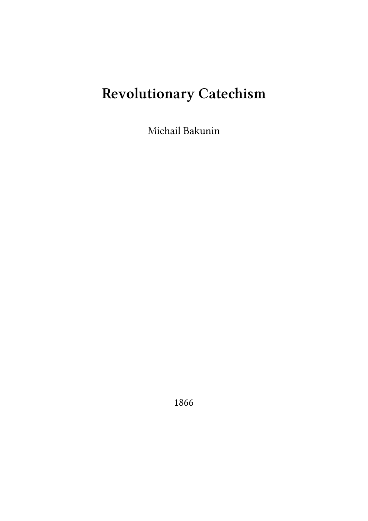## **Revolutionary Catechism**

Michail Bakunin

1866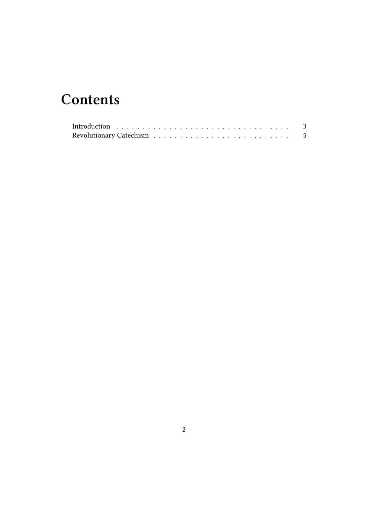## **Contents**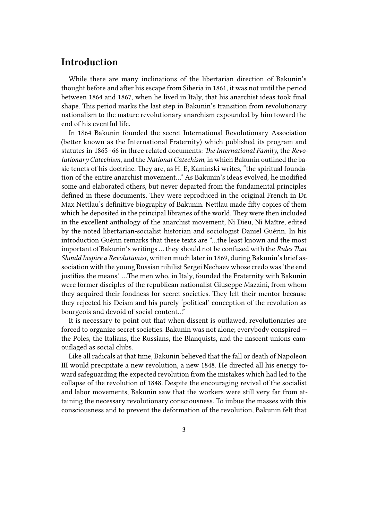## **Introduction**

While there are many inclinations of the libertarian direction of Bakunin's thought before and after his escape from Siberia in 1861, it was not until the period between 1864 and 1867, when he lived in Italy, that his anarchist ideas took final shape. This period marks the last step in Bakunin's transition from revolutionary nationalism to the mature revolutionary anarchism expounded by him toward the end of his eventful life.

In 1864 Bakunin founded the secret International Revolutionary Association (better known as the International Fraternity) which published its program and statutes in 1865–66 in three related documents: *The International Family*, the *Revolutionary Catechism*, and the *National Catechism*, in which Bakunin outlined the basic tenets of his doctrine. They are, as H. E, Kaminski writes, "the spiritual foundation of the entire anarchist movement…" As Bakunin's ideas evolved, he modified some and elaborated others, but never departed from the fundamental principles defined in these documents. They were reproduced in the original French in Dr. Max Nettlau's definitive biography of Bakunin. Nettlau made fifty copies of them which he deposited in the principal libraries of the world. They were then included in the excellent anthology of the anarchist movement, Ni Dieu, Ni Maître, edited by the noted libertarian-socialist historian and sociologist Daniel Guérin. In his introduction Guérin remarks that these texts are "…the least known and the most important of Bakunin's writings … they should not be confused with the *Rules That Should Inspire a Revolutionist*, written much later in 1869, during Bakunin's brief association with the young Russian nihilist Sergei Nechaev whose credo was 'the end justifies the means.' …The men who, in Italy, founded the Fraternity with Bakunin were former disciples of the republican nationalist Giuseppe Mazzini, from whom they acquired their fondness for secret societies. They left their mentor because they rejected his Deism and his purely 'political' conception of the revolution as bourgeois and devoid of social content…"

It is necessary to point out that when dissent is outlawed, revolutionaries are forced to organize secret societies. Bakunin was not alone; everybody conspired the Poles, the Italians, the Russians, the Blanquists, and the nascent unions camouflaged as social clubs.

Like all radicals at that time, Bakunin believed that the fall or death of Napoleon III would precipitate a new revolution, a new 1848. He directed all his energy toward safeguarding the expected revolution from the mistakes which had led to the collapse of the revolution of 1848. Despite the encouraging revival of the socialist and labor movements, Bakunin saw that the workers were still very far from attaining the necessary revolutionary consciousness. To imbue the masses with this consciousness and to prevent the deformation of the revolution, Bakunin felt that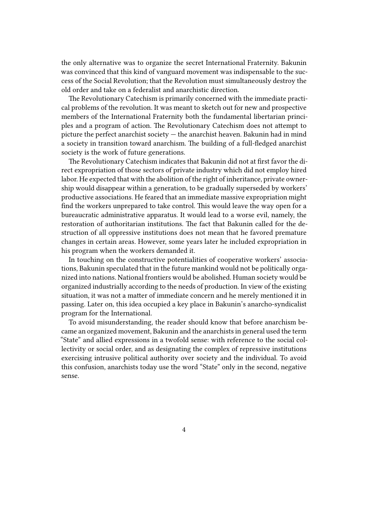the only alternative was to organize the secret International Fraternity. Bakunin was convinced that this kind of vanguard movement was indispensable to the success of the Social Revolution; that the Revolution must simultaneously destroy the old order and take on a federalist and anarchistic direction.

The Revolutionary Catechism is primarily concerned with the immediate practical problems of the revolution. It was meant to sketch out for new and prospective members of the International Fraternity both the fundamental libertarian principles and a program of action. The Revolutionary Catechism does not attempt to picture the perfect anarchist society — the anarchist heaven. Bakunin had in mind a society in transition toward anarchism. The building of a full-fledged anarchist society is the work of future generations.

The Revolutionary Catechism indicates that Bakunin did not at first favor the direct expropriation of those sectors of private industry which did not employ hired labor. He expected that with the abolition of the right of inheritance, private ownership would disappear within a generation, to be gradually superseded by workers' productive associations. He feared that an immediate massive expropriation might find the workers unprepared to take control. This would leave the way open for a bureaucratic administrative apparatus. It would lead to a worse evil, namely, the restoration of authoritarian institutions. The fact that Bakunin called for the destruction of all oppressive institutions does not mean that he favored premature changes in certain areas. However, some years later he included expropriation in his program when the workers demanded it.

In touching on the constructive potentialities of cooperative workers' associations, Bakunin speculated that in the future mankind would not be politically organized into nations. National frontiers would be abolished. Human society would be organized industrially according to the needs of production. In view of the existing situation, it was not a matter of immediate concern and he merely mentioned it in passing. Later on, this idea occupied a key place in Bakunin's anarcho-syndicalist program for the International.

To avoid misunderstanding, the reader should know that before anarchism became an organized movement, Bakunin and the anarchists in general used the term "State" and allied expressions in a twofold sense: with reference to the social collectivity or social order, and as designating the complex of repressive institutions exercising intrusive political authority over society and the individual. To avoid this confusion, anarchists today use the word "State" only in the second, negative sense.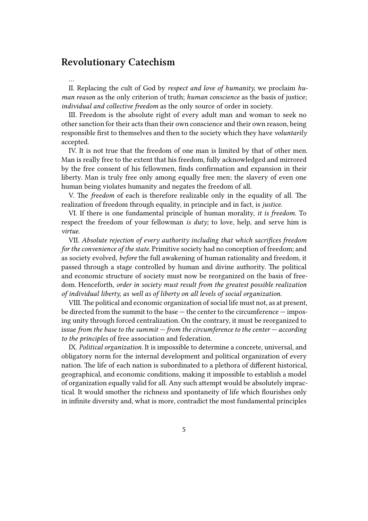## **Revolutionary Catechism**

…

II. Replacing the cult of God by *respect and love of humanity,* we proclaim *human reason* as the only criterion of truth; *human conscience* as the basis of justice; *individual and collective freedom* as the only source of order in society.

III. Freedom is the absolute right of every adult man and woman to seek no other sanction for their acts than their own conscience and their own reason, being responsible first to themselves and then to the society which they have *voluntarily* accepted.

IV. It is not true that the freedom of one man is limited by that of other men. Man is really free to the extent that his freedom, fully acknowledged and mirrored by the free consent of his fellowmen, finds confirmation and expansion in their liberty. Man is truly free only among equally free men; the slavery of even one human being violates humanity and negates the freedom of all.

V. The *freedom* of each is therefore realizable only in the equality of all. The realization of freedom through equality, in principle and in fact, is *justice.*

VI. If there is one fundamental principle of human morality, *it is freedom*. To respect the freedom of your fellowman *is duty;* to love, help, and serve him is *virtue.*

VII. *Absolute rejection of every authority including that which sacrifices freedom for the convenience of the state.* Primitive society had no conception of freedom; and as society evolved, *before* the full awakening of human rationality and freedom, it passed through a stage controlled by human and divine authority. The political and economic structure of society must now be reorganized on the basis of freedom. Henceforth, *order in society must result from the greatest possible realization of individual liberty, as well as of liberty on all levels of social organization.*

VIII.The political and economic organization of social life must not, as at present, be directed from the summit to the base — the center to the circumference — imposing unity through forced centralization. On the contrary, it must be reorganized to issue *from the base to the summit — from the circumference to the center — according to the principles* of free association and federation.

IX. *Political organization.* It is impossible to determine a concrete, universal, and obligatory norm for the internal development and political organization of every nation. The life of each nation is subordinated to a plethora of different historical, geographical, and economic conditions, making it impossible to establish a model of organization equally valid for all. Any such attempt would be absolutely impractical. It would smother the richness and spontaneity of life which flourishes only in infinite diversity and, what is more, contradict the most fundamental principles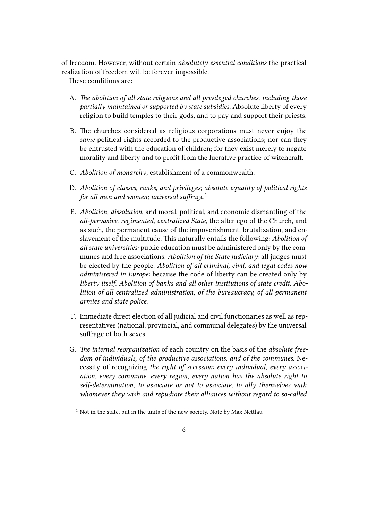of freedom. However, without certain *absolutely essential conditions* the practical realization of freedom will be forever impossible.

These conditions are:

- A. *The abolition of all state religions and all privileged churches, including those partially maintained or supported by state subsidies*. Absolute liberty of every religion to build temples to their gods, and to pay and support their priests.
- B. The churches considered as religious corporations must never enjoy the *same* political rights accorded to the productive associations; nor can they be entrusted with the education of children; for they exist merely to negate morality and liberty and to profit from the lucrative practice of witchcraft.
- C. *Abolition of monarchy*; establishment of a commonwealth.
- D. *Abolition of classes, ranks, and privileges; absolute equality of political rights for all men and women; universal suffrage*. 1
- E. *Abolition, dissolution*, and moral, political, and economic dismantling of the *all-pervasive, regimented, centralized State,* the alter ego of the Church, and as such, the permanent cause of the impoverishment, brutalization, and enslavement of the multitude. This naturally entails the following: *Abolition of all state universities:* public education must be administered only by the communes and free associations. *Abolition of the State judiciary:* all judges must be elected by the people. *Abolition of all criminal, civil, and legal codes now administered in Europe:* because the code of liberty can be created only by *liberty itself. Abolition of banks and all other institutions of state credit. Abolition of all centralized administration, of the bureaucracy, of all permanent armies and state police.*
- F. Immediate direct election of all judicial and civil functionaries as well as representatives (national, provincial, and communal delegates) by the universal suffrage of both sexes.
- G. *The internal reorganization* of each country on the basis of the *absolute freedom of individuals, of the productive associations, and of the communes*. Necessity of recognizing *the right of secession: every individual, every association, every commune, every region, every nation has the absolute right to self-determination, to associate or not to associate, to ally themselves with whomever they wish and repudiate their alliances without regard to so-called*

<sup>&</sup>lt;sup>1</sup> Not in the state, but in the units of the new society. Note by Max Nettlau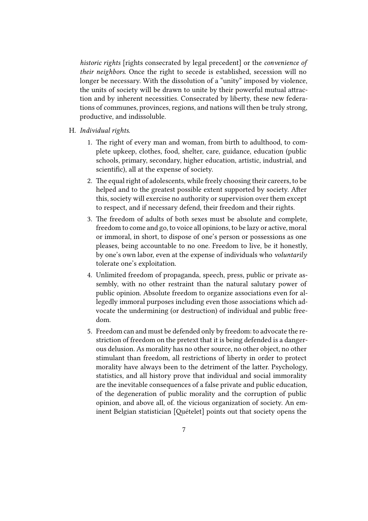*historic rights* [rights consecrated by legal precedent] or the *convenience of their neighbors*. Once the right to secede is established, secession will no longer be necessary. With the dissolution of a "unity" imposed by violence, the units of society will be drawn to unite by their powerful mutual attraction and by inherent necessities. Consecrated by liberty, these new federations of communes, provinces, regions, and nations will then be truly strong, productive, and indissoluble.

- H. *Individual rights*.
	- 1. The right of every man and woman, from birth to adulthood, to complete upkeep, clothes, food, shelter, care, guidance, education (public schools, primary, secondary, higher education, artistic, industrial, and scientific), all at the expense of society.
	- 2. The equal right of adolescents, while freely choosing their careers, to be helped and to the greatest possible extent supported by society. After this, society will exercise no authority or supervision over them except to respect, and if necessary defend, their freedom and their rights.
	- 3. The freedom of adults of both sexes must be absolute and complete, freedom to come and go, to voice all opinions, to be lazy or active, moral or immoral, in short, to dispose of one's person or possessions as one pleases, being accountable to no one. Freedom to live, be it honestly, by one's own labor, even at the expense of individuals who *voluntarily* tolerate one's exploitation.
	- 4. Unlimited freedom of propaganda, speech, press, public or private assembly, with no other restraint than the natural salutary power of public opinion. Absolute freedom to organize associations even for allegedly immoral purposes including even those associations which advocate the undermining (or destruction) of individual and public freedom.
	- 5. Freedom can and must be defended only by freedom: to advocate the restriction of freedom on the pretext that it is being defended is a dangerous delusion. As morality has no other source, no other object, no other stimulant than freedom, all restrictions of liberty in order to protect morality have always been to the detriment of the latter. Psychology, statistics, and all history prove that individual and social immorality are the inevitable consequences of a false private and public education, of the degeneration of public morality and the corruption of public opinion, and above all, of. the vicious organization of society. An eminent Belgian statistician [Quételet] points out that society opens the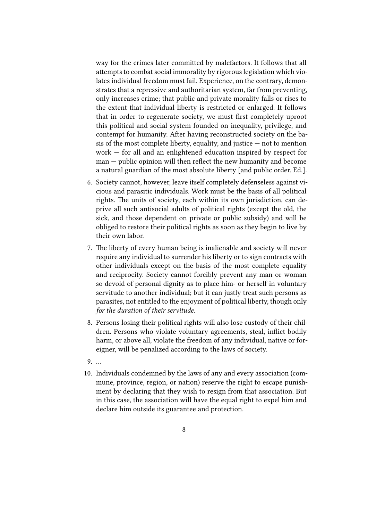way for the crimes later committed by malefactors. It follows that all attempts to combat social immorality by rigorous legislation which violates individual freedom must fail. Experience, on the contrary, demonstrates that a repressive and authoritarian system, far from preventing, only increases crime; that public and private morality falls or rises to the extent that individual liberty is restricted or enlarged. It follows that in order to regenerate society, we must first completely uproot this political and social system founded on inequality, privilege, and contempt for humanity. After having reconstructed society on the basis of the most complete liberty, equality, and justice  $-$  not to mention work — for all and an enlightened education inspired by respect for man — public opinion will then reflect the new humanity and become a natural guardian of the most absolute liberty [and public order. Ed.].

- 6. Society cannot, however, leave itself completely defenseless against vicious and parasitic individuals. Work must be the basis of all political rights. The units of society, each within its own jurisdiction, can deprive all such antisocial adults of political rights (except the old, the sick, and those dependent on private or public subsidy) and will be obliged to restore their political rights as soon as they begin to live by their own labor.
- 7. The liberty of every human being is inalienable and society will never require any individual to surrender his liberty or to sign contracts with other individuals except on the basis of the most complete equality and reciprocity. Society cannot forcibly prevent any man or woman so devoid of personal dignity as to place him- or herself in voluntary servitude to another individual; but it can justly treat such persons as parasites, not entitled to the enjoyment of political liberty, though only *for the duration of their servitude.*
- 8. Persons losing their political rights will also lose custody of their children. Persons who violate voluntary agreements, steal, inflict bodily harm, or above all, violate the freedom of any individual, native or foreigner, will be penalized according to the laws of society.
- 9. …
- 10. Individuals condemned by the laws of any and every association (commune, province, region, or nation) reserve the right to escape punishment by declaring that they wish to resign from that association. But in this case, the association will have the equal right to expel him and declare him outside its guarantee and protection.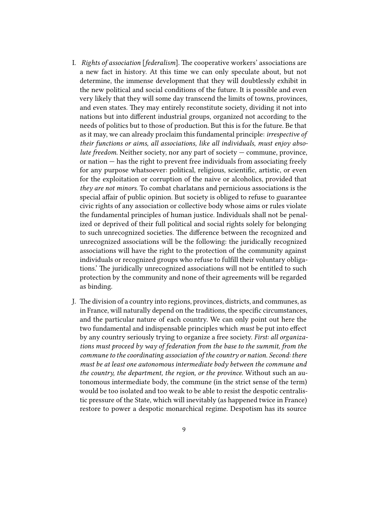- I. *Rights of association* [*federalism*]. The cooperative workers' associations are a new fact in history. At this time we can only speculate about, but not determine, the immense development that they will doubtlessly exhibit in the new political and social conditions of the future. It is possible and even very likely that they will some day transcend the limits of towns, provinces, and even states. They may entirely reconstitute society, dividing it not into nations but into different industrial groups, organized not according to the needs of politics but to those of production. But this is for the future. Be that as it may, we can already proclaim this fundamental principle: *irrespective of their functions or aims, all associations, like all individuals, must enjoy absolute freedom.* Neither society, nor any part of society — commune, province, or nation — has the right to prevent free individuals from associating freely for any purpose whatsoever: political, religious, scientific, artistic, or even for the exploitation or corruption of the naive or alcoholics, provided that *they are not minors*. To combat charlatans and pernicious associations is the special affair of public opinion. But society is obliged to refuse to guarantee civic rights of any association or collective body whose aims or rules violate the fundamental principles of human justice. Individuals shall not be penalized or deprived of their full political and social rights solely for belonging to such unrecognized societies. The difference between the recognized and unrecognized associations will be the following: the juridically recognized associations will have the right to the protection of the community against individuals or recognized groups who refuse to fulfill their voluntary obligations.' The juridically unrecognized associations will not be entitled to such protection by the community and none of their agreements will be regarded as binding.
- J. The division of a country into regions, provinces, districts, and communes, as in France, will naturally depend on the traditions, the specific circumstances, and the particular nature of each country. We can only point out here the two fundamental and indispensable principles which *must* be put into effect by any country seriously trying to organize a free society. *First: all organizations must proceed by way of federation from the base to the summit, from the commune to the coordinating association of the country or nation. Second: there must be at least one autonomous intermediate body between the commune and the country, the department, the region, or the province*. Without such an autonomous intermediate body, the commune (in the strict sense of the term) would be too isolated and too weak to be able to resist the despotic centralistic pressure of the State, which will inevitably (as happened twice in France) restore to power a despotic monarchical regime. Despotism has its source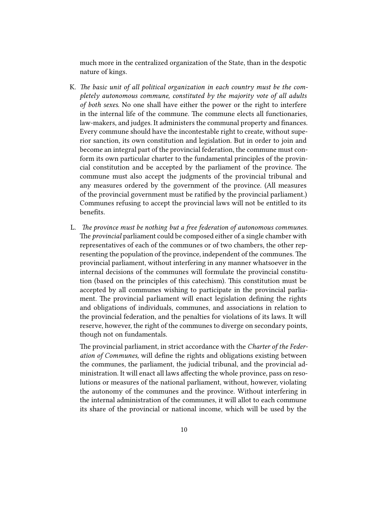much more in the centralized organization of the State, than in the despotic nature of kings.

- K. *The basic unit of all political organization in each country must be the completely autonomous commune, constituted by the majority vote of all adults of both sexes*. No one shall have either the power or the right to interfere in the internal life of the commune. The commune elects all functionaries, law-makers, and judges. It administers the communal property and finances. Every commune should have the incontestable right to create, without superior sanction, its own constitution and legislation. But in order to join and become an integral part of the provincial federation, the commune must conform its own particular charter to the fundamental principles of the provincial constitution and be accepted by the parliament of the province. The commune must also accept the judgments of the provincial tribunal and any measures ordered by the government of the province. (All measures of the provincial government must be ratified by the provincial parliament.) Communes refusing to accept the provincial laws will not be entitled to its benefits.
- L. *The province must be nothing but a free federation of autonomous communes.* The *provincial* parliament could be composed either of a single chamber with representatives of each of the communes or of two chambers, the other representing the population of the province, independent of the communes. The provincial parliament, without interfering in any manner whatsoever in the internal decisions of the communes will formulate the provincial constitution (based on the principles of this catechism). This constitution must be accepted by all communes wishing to participate in the provincial parliament. The provincial parliament will enact legislation defining the rights and obligations of individuals, communes, and associations in relation to the provincial federation, and the penalties for violations of its laws. It will reserve, however, the right of the communes to diverge on secondary points, though not on fundamentals.

The provincial parliament, in strict accordance with the *Charter of the Federation of Communes,* will define the rights and obligations existing between the communes, the parliament, the judicial tribunal, and the provincial administration. It will enact all laws affecting the whole province, pass on resolutions or measures of the national parliament, without, however, violating the autonomy of the communes and the province. Without interfering in the internal administration of the communes, it will allot to each commune its share of the provincial or national income, which will be used by the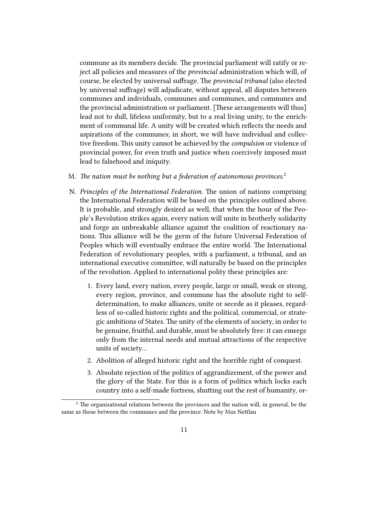commune as its members decide. The provincial parliament will ratify or reject all policies and measures of the *provincial* administration which will, of course, be elected by universal suffrage. The *provincial tribunal* (also elected by universal suffrage) will adjudicate, without appeal, all disputes between communes and individuals, communes and communes, and communes and the provincial administration or parliament. [These arrangements will thus] lead not to dull, lifeless uniformity, but to a real living unity, to the enrichment of communal life. A unity will be created which reflects the needs and aspirations of the communes; in short, we will have individual and collective freedom. This unity cannot be achieved by the *compulsion* or violence of provincial power, for even truth and justice when coercively imposed must lead to falsehood and iniquity.

- M. *The nation must be nothing but a federation of autonomous provinces.*<sup>2</sup>
- N. *Principles of the International Federation.* The union of nations comprising the International Federation will be based on the principles outlined above. It is probable, and strongly desired as well, that when the hour of the People's Revolution strikes again, every nation will unite in brotherly solidarity and forge an unbreakable alliance against the coalition of reactionary nations. This alliance will be the germ of the future Universal Federation of Peoples which will eventually embrace the entire world. The International Federation of revolutionary peoples, with a parliament, a tribunal, and an international executive committee, will naturally be based on the principles of the revolution. Applied to international polity these principles are:
	- 1. Every land, every nation, every people, large or small, weak or strong, every region, province, and commune has the absolute right to selfdetermination, to make alliances, unite or secede as it pleases, regardless of so-called historic rights and the political, commercial, or strategic ambitions of States. The unity of the elements of society, in order to be genuine, fruitful, and durable, must be absolutely free: it can emerge only from the internal needs and mutual attractions of the respective units of society…
	- 2. Abolition of alleged historic right and the horrible right of conquest.
	- 3. Absolute rejection of the politics of aggrandizement, of the power and the glory of the State. For this is a form of politics which locks each country into a self-made fortress, shutting out the rest of humanity, or-

 $<sup>2</sup>$  The organizational relations between the provinces and the nation will, in general, be the</sup> same as those between the communes and the province. Note by Max Nettlau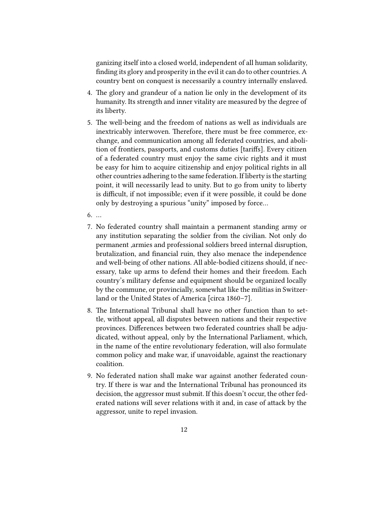ganizing itself into a closed world, independent of all human solidarity, finding its glory and prosperity in the evil it can do to other countries. A country bent on conquest is necessarily a country internally enslaved.

- 4. The glory and grandeur of a nation lie only in the development of its humanity. Its strength and inner vitality are measured by the degree of its liberty.
- 5. The well-being and the freedom of nations as well as individuals are inextricably interwoven. Therefore, there must be free commerce, exchange, and communication among all federated countries, and abolition of frontiers, passports, and customs duties [tariffs]. Every citizen of a federated country must enjoy the same civic rights and it must be easy for him to acquire citizenship and enjoy political rights in all other countries adhering to the same federation. If liberty is the starting point, it will necessarily lead to unity. But to go from unity to liberty is difficult, if not impossible; even if it were possible, it could be done only by destroying a spurious "unity" imposed by force…
- 6. …
- 7. No federated country shall maintain a permanent standing army or any institution separating the soldier from the civilian. Not only do permanent ,armies and professional soldiers breed internal disruption, brutalization, and financial ruin, they also menace the independence and well-being of other nations. All able-bodied citizens should, if necessary, take up arms to defend their homes and their freedom. Each country's military defense and equipment should be organized locally by the commune, or provincially, somewhat like the militias in Switzerland or the United States of America [circa 1860–7].
- 8. The International Tribunal shall have no other function than to settle, without appeal, all disputes between nations and their respective provinces. Differences between two federated countries shall be adjudicated, without appeal, only by the International Parliament, which, in the name of the entire revolutionary federation, will also formulate common policy and make war, if unavoidable, against the reactionary coalition.
- 9. No federated nation shall make war against another federated country. If there is war and the International Tribunal has pronounced its decision, the aggressor must submit. If this doesn't occur, the other federated nations will sever relations with it and, in case of attack by the aggressor, unite to repel invasion.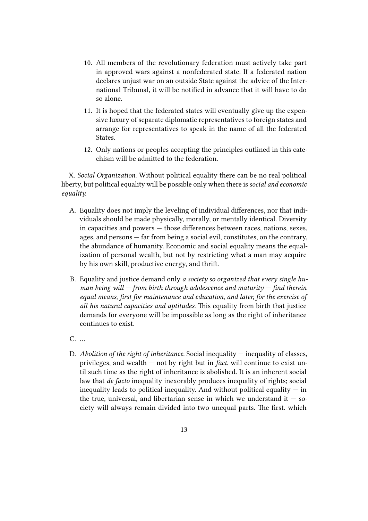- 10. All members of the revolutionary federation must actively take part in approved wars against a nonfederated state. If a federated nation declares unjust war on an outside State against the advice of the International Tribunal, it will be notified in advance that it will have to do so alone.
- 11. It is hoped that the federated states will eventually give up the expensive luxury of separate diplomatic representatives to foreign states and arrange for representatives to speak in the name of all the federated States.
- 12. Only nations or peoples accepting the principles outlined in this catechism will be admitted to the federation.

X. *Social Organization.* Without political equality there can be no real political liberty, but political equality will be possible only when there is*social and economic equality.*

- A. Equality does not imply the leveling of individual differences, nor that individuals should be made physically, morally, or mentally identical. Diversity in capacities and powers — those differences between races, nations, sexes, ages, and persons — far from being a social evil, constitutes, on the contrary, the abundance of humanity. Economic and social equality means the equalization of personal wealth, but not by restricting what a man may acquire by his own skill, productive energy, and thrift.
- B. Equality and justice demand only *a society so organized that every single human being will — from birth through adolescence and maturity — find therein equal means, first for maintenance and education, and later, for the exercise of all his natural capacities and aptitudes*. This equality from birth that justice demands for everyone will be impossible as long as the right of inheritance continues to exist.
- C. …
- D. *Abolition of the right of inheritance.* Social inequality inequality of classes, privileges, and wealth — not by right but in *fact.* will continue to exist until such time as the right of inheritance is abolished. It is an inherent social law that *de facto* inequality inexorably produces inequality of rights; social inequality leads to political inequality. And without political equality  $-$  in the true, universal, and libertarian sense in which we understand it  $-$  society will always remain divided into two unequal parts. The first. which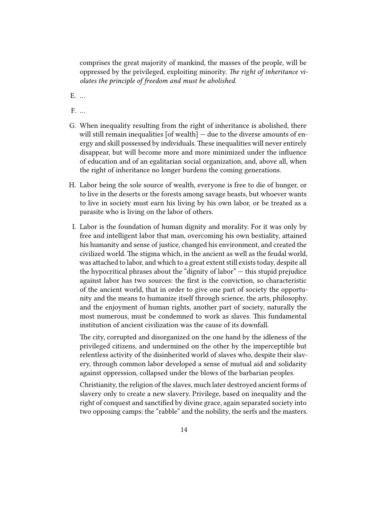comprises the great majority of mankind, the masses of the people, will be oppressed by the privileged, exploiting minority. *The right of inheritance violates the principle of freedom and must be abolished.*

E. …

F. …

- G. When inequality resulting from the right of inheritance is abolished, there will still remain inequalities  $[$  of wealth $]$   $-$  due to the diverse amounts of energy and skill possessed by individuals. These inequalities will never entirely disappear, but will become more and more minimized under the influence of education and of an egalitarian social organization, and, above all, when the right of inheritance no longer burdens the coming generations.
- H. Labor being the sole source of wealth, everyone is free to die of hunger, or to live in the deserts or the forests among savage beasts, but whoever wants to live in society must earn his living by his own labor, or be treated as a parasite who is living on the labor of others.
- I. Labor is the foundation of human dignity and morality. For it was only by free and intelligent labor that man, overcoming his own bestiality, attained his humanity and sense of justice, changed his environment, and created the civilized world. The stigma which, in the ancient as well as the feudal world, was attached to labor, and which to a great extent still exists today, despite all the hypocritical phrases about the "dignity of labor" — this stupid prejudice against labor has two sources: the first is the conviction, so characteristic of the ancient world, that in order to give one part of society the opportunity and the means to humanize itself through science, the arts, philosophy. and the enjoyment of human rights, another part of society, naturally the most numerous, must be condemned to work as slaves. This fundamental institution of ancient civilization was the cause of its downfall.

The city, corrupted and disorganized on the one hand by the idleness of the privileged citizens, and undermined on the other by the imperceptible but relentless activity of the disinherited world of slaves who, despite their slavery, through common labor developed a sense of mutual aid and solidarity against oppression, collapsed under the blows of the barbarian peoples.

Christianity, the religion of the slaves, much later destroyed ancient forms of slavery only to create a new slavery. Privilege, based on inequality and the right of conquest and sanctified by divine grace, again separated society into two opposing camps: the "rabble" and the nobility, the serfs and the masters.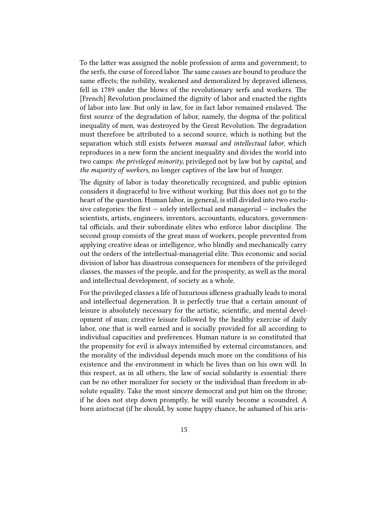To the latter was assigned the noble profession of arms and government; to the serfs, the curse of forced labor. The same causes are bound to produce the same effects; the nobility, weakened and demoralized by depraved idleness, fell in 1789 under the blows of the revolutionary serfs and workers. The [French] Revolution proclaimed the dignity of labor and enacted the rights of labor into law. But only in law, for in fact labor remained enslaved. The first source of the degradation of labor, namely, the dogma of the political inequality of men, was destroyed by the Great Revolution. The degradation must therefore be attributed to a second source, which is nothing but the separation which still exists *between manual and intellectual labor*, which reproduces in a new form the ancient inequality and divides the world into two camps: *the privileged minority*, privileged not by law but by *capital*, and *the majority of workers*, no longer captives of the law but of hunger.

The dignity of labor is today theoretically recognized, and public opinion considers it disgraceful to live without working. But this does not go to the heart of the question. Human labor, in general, is still divided into two exclusive categories: the first — solely intellectual and managerial — includes the scientists, artists, engineers, inventors, accountants, educators, governmental officials, and their subordinate elites who enforce labor discipline. The second group consists of the great mass of workers, people prevented from applying creative ideas or intelligence, who blindly and mechanically carry out the orders of the intellectual-managerial elite. This economic and social division of labor has disastrous consequences for members of the privileged classes, the masses of the people, and for the prosperity, as well as the moral and intellectual development, of society as a whole.

For the privileged classes a life of luxurious idleness gradually leads to moral and intellectual degeneration. It is perfectly true that a certain amount of leisure is absolutely necessary for the artistic, scientific, and mental development of man; creative leisure followed by the healthy exercise of daily labor, one that is well earned and is socially provided for all according to individual capacities and preferences. Human nature is so constituted that the propensity for evil is always intensified by external circumstances, and the morality of the individual depends much more on the conditions of his existence and the environment in which he lives than on his own will. In this respect, as in all others, the law of social solidarity is essential: there can be no other moralizer for society or the individual than freedom in absolute equality. Take the most sincere democrat and put him on the throne; if he does not step down promptly, he will surely become a scoundrel. A born aristocrat (if he should, by some happy chance, be ashamed of his aris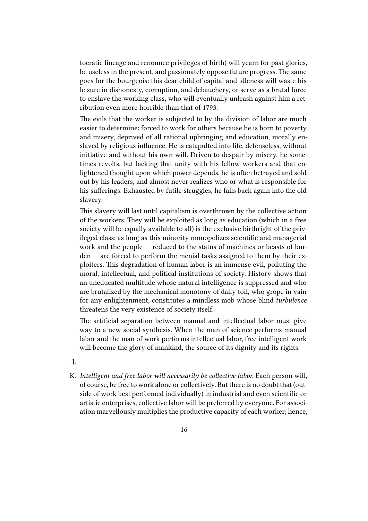tocratic lineage and renounce privileges of birth) will yearn for past glories, be useless in the present, and passionately oppose future progress. The same goes for the bourgeois: this dear child of capital and idleness will waste his leisure in dishonesty, corruption, and debauchery, or serve as a brutal force to enslave the working class, who will eventually unleash against him a retribution even more horrible than that of 1793.

The evils that the worker is subjected to by the division of labor are much easier to determine: forced to work for others because he is born to poverty and misery, deprived of all rational upbringing and education, morally enslaved by religious influence. He is catapulted into life, defenseless, without initiative and without his own will. Driven to despair by misery, he sometimes revolts, but lacking that unity with his fellow workers and that enlightened thought upon which power depends, he is often betrayed and sold out by his leaders, and almost never realizes who or what is responsible for his sufferings. Exhausted by futile struggles, he falls back again into the old slavery.

This slavery will last until capitalism is overthrown by the collective action of the workers. They will be exploited as long as education (which in a free society will be equally available to all) is the exclusive birthright of the privileged class; as long as this minority monopolizes scientific and managerial work and the people — reduced to the status of machines or beasts of burden — are forced to perform the menial tasks assigned to them by their exploiters. This degradation of human labor is an immense evil, polluting the moral, intellectual, and political institutions of society. History shows that an uneducated multitude whose natural intelligence is suppressed and who are brutalized by the mechanical monotony of daily toil, who grope in vain for any enlightenment, constitutes a mindless mob whose blind *turbulence* threatens the very existence of society itself.

The artificial separation between manual and intellectual labor must give way to a new social synthesis. When the man of science performs manual labor and the man of work performs intellectual labor, free intelligent work will become the glory of mankind, the source of its dignity and its rights.

- J.
- K. *Intelligent and free labor will necessarily be collective labor.* Each person will, of course, be free to work alone or collectively. But there is no doubt that (outside of work best performed individually) in industrial and even scientific or artistic enterprises, collective labor will be preferred by everyone. For association marvellously multiplies the productive capacity of each worker; hence,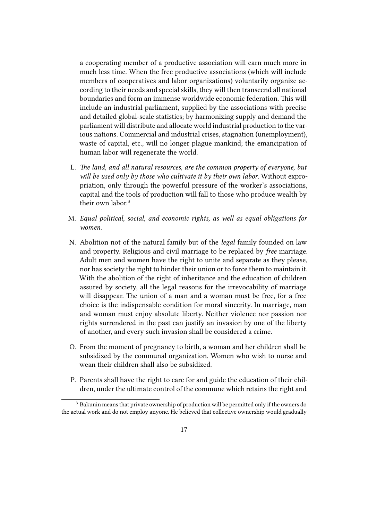a cooperating member of a productive association will earn much more in much less time. When the free productive associations (which will include members of cooperatives and labor organizations) voluntarily organize according to their needs and special skills, they will then transcend all national boundaries and form an immense worldwide economic federation. This will include an industrial parliament, supplied by the associations with precise and detailed global-scale statistics; by harmonizing supply and demand the parliament will distribute and allocate world industrial production to the various nations. Commercial and industrial crises, stagnation (unemployment), waste of capital, etc., will no longer plague mankind; the emancipation of human labor will regenerate the world.

- L. *The land, and all natural resources, are the common property of everyone, but will be used only by those who cultivate it by their own labor*. Without expropriation, only through the powerful pressure of the worker's associations, capital and the tools of production will fall to those who produce wealth by their own labor.<sup>3</sup>
- M. *Equal political, social, and economic rights, as well as equal obligations for women*.
- N. Abolition not of the natural family but of the *legal* family founded on law and property. Religious and civil marriage to be replaced by *free* marriage. Adult men and women have the right to unite and separate as they please, nor has society the right to hinder their union or to force them to maintain it. With the abolition of the right of inheritance and the education of children assured by society, all the legal reasons for the irrevocability of marriage will disappear. The union of a man and a woman must be free, for a free choice is the indispensable condition for moral sincerity. In marriage, man and woman must enjoy absolute liberty. Neither violence nor passion nor rights surrendered in the past can justify an invasion by one of the liberty of another, and every such invasion shall be considered a crime.
- O. From the moment of pregnancy to birth, a woman and her children shall be subsidized by the communal organization. Women who wish to nurse and wean their children shall also be subsidized.
- P. Parents shall have the right to care for and guide the education of their children, under the ultimate control of the commune which retains the right and

 $3$  Bakunin means that private ownership of production will be permitted only if the owners do the actual work and do not employ anyone. He believed that collective ownership would gradually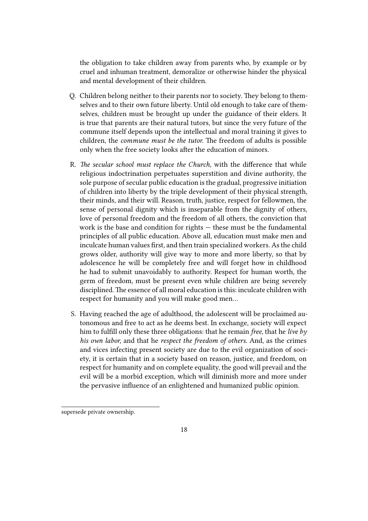the obligation to take children away from parents who, by example or by cruel and inhuman treatment, demoralize or otherwise hinder the physical and mental development of their children.

- Q. Children belong neither to their parents nor to society. They belong to themselves and to their own future liberty. Until old enough to take care of themselves, children must be brought up under the guidance of their elders. It is true that parents are their natural tutors, but since the very future of the commune itself depends upon the intellectual and moral training it gives to children, the *commune must be the tutor.* The freedom of adults is possible only when the free society looks after the education of minors.
- R. *The secular school must replace the Church,* with the difference that while religious indoctrination perpetuates superstition and divine authority, the sole purpose of secular public education is the gradual, progressive initiation of children into liberty by the triple development of their physical strength, their minds, and their will. Reason, truth, justice, respect for fellowmen, the sense of personal dignity which is inseparable from the dignity of others, love of personal freedom and the freedom of all others, the conviction that work is the base and condition for rights — these must be the fundamental principles of all public education. Above all, education must make men and inculcate human values first, and then train specialized workers. As the child grows older, authority will give way to more and more liberty, so that by adolescence he will be completely free and will forget how in childhood he had to submit unavoidably to authority. Respect for human worth, the germ of freedom, must be present even while children are being severely disciplined. The essence of all moral education is this: inculcate children with respect for humanity and you will make good men…
- S. Having reached the age of adulthood, the adolescent will be proclaimed autonomous and free to act as he deems best. In exchange, society will expect him to fulfill only these three obligations: that he remain *free,* that he *live by his own labor,* and that he *respect the freedom of others.* And, as the crimes and vices infecting present society are due to the evil organization of society, it is certain that in a society based on reason, justice, and freedom, on respect for humanity and on complete equality, the good will prevail and the evil will be a morbid exception, which will diminish more and more under the pervasive influence of an enlightened and humanized public opinion.

supersede private ownership.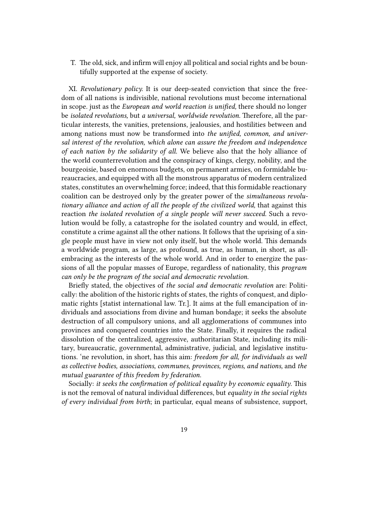T. The old, sick, and infirm will enjoy all political and social rights and be bountifully supported at the expense of society.

XI. *Revolutionary policy.* It is our deep-seated conviction that since the freedom of all nations is indivisible, national revolutions must become international in scope. just as the *European and world reaction is unified,* there should no longer be *isolated revolutions,* but *a universal, worldwide revolution.* Therefore, all the particular interests, the vanities, pretensions, jealousies, and hostilities between and among nations must now be transformed into *the unified, common, and universal interest of the revolution, which alone can assure the freedom and independence of each nation by the solidarity of all.* We believe also that the holy alliance of the world counterrevolution and the conspiracy of kings, clergy, nobility, and the bourgeoisie, based on enormous budgets, on permanent armies, on formidable bureaucracies, and equipped with all the monstrous apparatus of modern centralized states, constitutes an overwhelming force; indeed, that this formidable reactionary coalition can be destroyed only by the greater power of the *simultaneous revolutionary alliance and action of all the people of the civilized world,* that against this reaction *the isolated revolution of a single people will never succeed.* Such a revolution would be folly, a catastrophe for the isolated country and would, in effect, constitute a crime against all the other nations. It follows that the uprising of a single people must have in view not only itself, but the whole world. This demands a worldwide program, as large, as profound, as true, as human, in short, as allembracing as the interests of the whole world. And in order to energize the passions of all the popular masses of Europe, regardless of nationality, this *program can only be the program of the social and democratic revolution.*

Briefly stated, the objectives of *the social and democratic revolution* are: Politically: the abolition of the historic rights of states, the rights of conquest, and diplomatic rights [statist international law. Tr.]. It aims at the full emancipation of individuals and associations from divine and human bondage; it seeks the absolute destruction of all compulsory unions, and all agglomerations of communes into provinces and conquered countries into the State. Finally, it requires the radical dissolution of the centralized, aggressive, authoritarian State, including its military, bureaucratic, governmental, administrative, judicial, and legislative institutions. 'ne revolution, in short, has this aim: *freedom for all, for individuals as well as collective bodies, associations, communes, provinces, regions, and nations,* and *the mutual guarantee of this freedom by federation*.

Socially: *it seeks the confirmation of political equality by economic equality*. This is not the removal of natural individual differences, but *equality in the social rights of every individual from birth*; in particular, equal means of subsistence, support,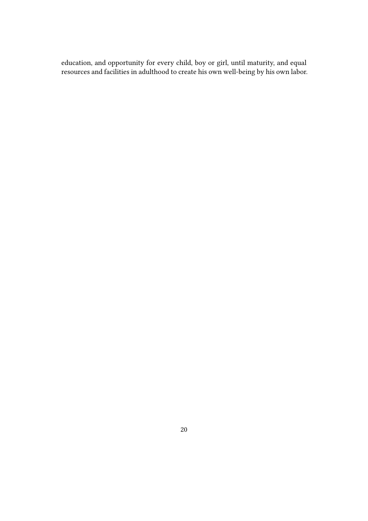education, and opportunity for every child, boy or girl, until maturity, and equal resources and facilities in adulthood to create his own well-being by his own labor.